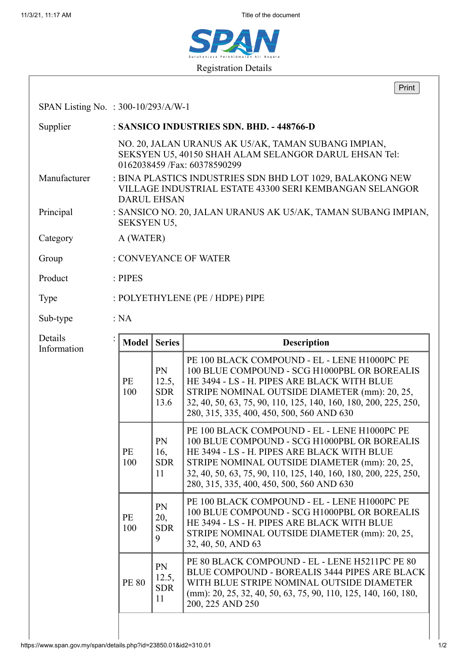11/3/21, 11:17 AM Title of the document



|                                       |                                                                                                                                            |                                   | Print                                                                                                                                                                                                                                                                                                        |  |  |
|---------------------------------------|--------------------------------------------------------------------------------------------------------------------------------------------|-----------------------------------|--------------------------------------------------------------------------------------------------------------------------------------------------------------------------------------------------------------------------------------------------------------------------------------------------------------|--|--|
| SPAN Listing No. : $300-10/293/A/W-1$ |                                                                                                                                            |                                   |                                                                                                                                                                                                                                                                                                              |  |  |
| Supplier                              | : SANSICO INDUSTRIES SDN. BHD. - 448766-D                                                                                                  |                                   |                                                                                                                                                                                                                                                                                                              |  |  |
|                                       |                                                                                                                                            |                                   | NO. 20, JALAN URANUS AK U5/AK, TAMAN SUBANG IMPIAN,<br>SEKSYEN U5, 40150 SHAH ALAM SELANGOR DARUL EHSAN Tel:<br>0162038459 /Fax: 60378590299                                                                                                                                                                 |  |  |
| Manufacturer                          | : BINA PLASTICS INDUSTRIES SDN BHD LOT 1029, BALAKONG NEW<br>VILLAGE INDUSTRIAL ESTATE 43300 SERI KEMBANGAN SELANGOR<br><b>DARUL EHSAN</b> |                                   |                                                                                                                                                                                                                                                                                                              |  |  |
| Principal                             | : SANSICO NO. 20, JALAN URANUS AK U5/AK, TAMAN SUBANG IMPIAN,<br><b>SEKSYEN U5,</b>                                                        |                                   |                                                                                                                                                                                                                                                                                                              |  |  |
| Category                              | A (WATER)                                                                                                                                  |                                   |                                                                                                                                                                                                                                                                                                              |  |  |
| Group                                 | : CONVEYANCE OF WATER                                                                                                                      |                                   |                                                                                                                                                                                                                                                                                                              |  |  |
| Product                               | $:$ PIPES                                                                                                                                  |                                   |                                                                                                                                                                                                                                                                                                              |  |  |
| Type                                  | : POLYETHYLENE (PE / HDPE) PIPE                                                                                                            |                                   |                                                                                                                                                                                                                                                                                                              |  |  |
| Sub-type                              | : NA                                                                                                                                       |                                   |                                                                                                                                                                                                                                                                                                              |  |  |
| Details<br>Information                | Model                                                                                                                                      | <b>Series</b>                     | <b>Description</b>                                                                                                                                                                                                                                                                                           |  |  |
|                                       | PE<br>100                                                                                                                                  | PN<br>12.5,<br><b>SDR</b><br>13.6 | PE 100 BLACK COMPOUND - EL - LENE H1000PC PE<br>100 BLUE COMPOUND - SCG H1000PBL OR BOREALIS<br>HE 3494 - LS - H. PIPES ARE BLACK WITH BLUE<br>STRIPE NOMINAL OUTSIDE DIAMETER (mm): 20, 25,<br>32, 40, 50, 63, 75, 90, 110, 125, 140, 160, 180, 200, 225, 250,<br>280, 315, 335, 400, 450, 500, 560 AND 630 |  |  |
|                                       | PE<br>100                                                                                                                                  | PN<br>16,<br><b>SDR</b><br>11     | PE 100 BLACK COMPOUND - EL - LENE H1000PC PE<br>100 BLUE COMPOUND - SCG H1000PBL OR BOREALIS<br>HE 3494 - LS - H. PIPES ARE BLACK WITH BLUE<br>STRIPE NOMINAL OUTSIDE DIAMETER (mm): 20, 25,<br>32, 40, 50, 63, 75, 90, 110, 125, 140, 160, 180, 200, 225, 250,<br>280, 315, 335, 400, 450, 500, 560 AND 630 |  |  |
|                                       | PE<br>100                                                                                                                                  | PN<br>20,<br><b>SDR</b><br>9      | PE 100 BLACK COMPOUND - EL - LENE H1000PC PE<br>100 BLUE COMPOUND - SCG H1000PBL OR BOREALIS<br>HE 3494 - LS - H. PIPES ARE BLACK WITH BLUE<br>STRIPE NOMINAL OUTSIDE DIAMETER (mm): 20, 25,<br>32, 40, 50, AND 63                                                                                           |  |  |
|                                       | <b>PE 80</b>                                                                                                                               | PN<br>12.5,<br><b>SDR</b><br>11   | PE 80 BLACK COMPOUND - EL - LENE H5211PC PE 80<br><b>BLUE COMPOUND - BOREALIS 3444 PIPES ARE BLACK</b><br>WITH BLUE STRIPE NOMINAL OUTSIDE DIAMETER<br>(mm): 20, 25, 32, 40, 50, 63, 75, 90, 110, 125, 140, 160, 180,<br>200, 225 AND 250                                                                    |  |  |